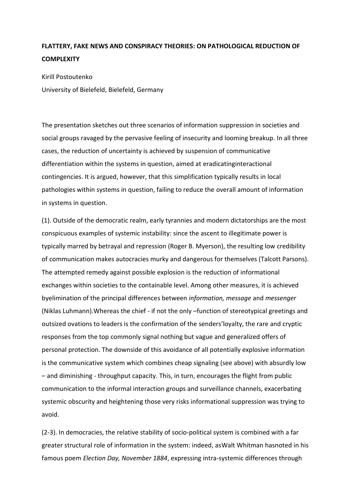## **FLATTERY, FAKE NEWS AND CONSPIRACY THEORIES: ON PATHOLOGICAL REDUCTION OF COMPLEXITY**

Kirill Postoutenko University of Bielefeld, Bielefeld, Germany

The presentation sketches out three scenarios of information suppression in societies and social groups ravaged by the pervasive feeling of insecurity and looming breakup. In all three cases, the reduction of uncertainty is achieved by suspension of communicative differentiation within the systems in question, aimed at eradicatinginteractional contingencies. It is argued, however, that this simplification typically results in local pathologies within systems in question, failing to reduce the overall amount of information in systems in question.

(1). Outside of the democratic realm, early tyrannies and modern dictatorships are the most conspicuous examples of systemic instability: since the ascent to illegitimate power is typically marred by betrayal and repression (Roger B. Myerson), the resulting low credibility of communication makes autocracies murky and dangerous for themselves (Talcott Parsons). The attempted remedy against possible explosion is the reduction of informational exchanges within societies to the containable level. Among other measures, it is achieved byelimination of the principal differences between *information, message* and *messenger* (Niklas Luhmann).Whereas the chief - if not the only –function of stereotypical greetings and outsized ovations to leaders is the confirmation of the senders'loyalty, the rare and cryptic responses from the top commonly signal nothing but vague and generalized offers of personal protection. The downside of this avoidance of all potentially explosive information is the communicative system which combines cheap signaling (see above) with absurdly low – and diminishing - throughput capacity. This, in turn, encourages the flight from public communication to the informal interaction groups and surveillance channels, exacerbating systemic obscurity and heightening those very risks informational suppression was trying to avoid.

(2-3). In democracies, the relative stability of socio-political system is combined with a far greater structural role of information in the system: indeed, asWalt Whitman hasnoted in his famous poem *Election Day, November 1884*, expressing intra-systemic differences through